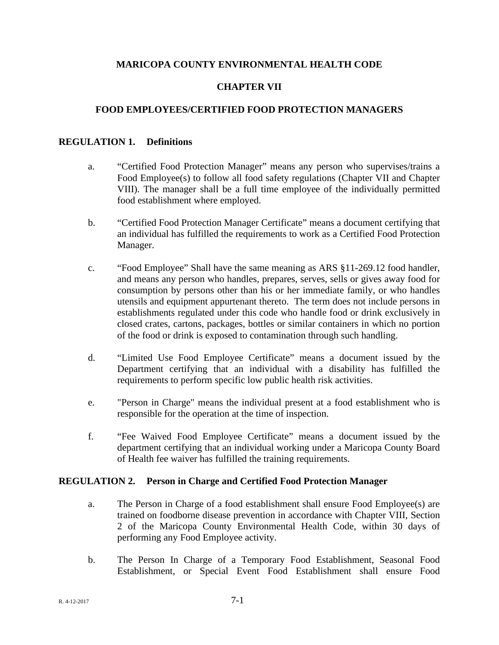## **MARICOPA COUNTY ENVIRONMENTAL HEALTH CODE**

## **CHAPTER VII**

### **FOOD EMPLOYEES/CERTIFIED FOOD PROTECTION MANAGERS**

#### **REGULATION 1. Definitions**

- a. "Certified Food Protection Manager" means any person who supervises/trains a Food Employee(s) to follow all food safety regulations (Chapter VII and Chapter VIII). The manager shall be a full time employee of the individually permitted food establishment where employed.
- b. "Certified Food Protection Manager Certificate" means a document certifying that an individual has fulfilled the requirements to work as a Certified Food Protection Manager.
- c. "Food Employee" Shall have the same meaning as ARS §11-269.12 food handler, and means any person who handles, prepares, serves, sells or gives away food for consumption by persons other than his or her immediate family, or who handles utensils and equipment appurtenant thereto. The term does not include persons in establishments regulated under this code who handle food or drink exclusively in closed crates, cartons, packages, bottles or similar containers in which no portion of the food or drink is exposed to contamination through such handling.
- d. "Limited Use Food Employee Certificate" means a document issued by the Department certifying that an individual with a disability has fulfilled the requirements to perform specific low public health risk activities.
- e. "Person in Charge" means the individual present at a food establishment who is responsible for the operation at the time of inspection.
- f. "Fee Waived Food Employee Certificate" means a document issued by the department certifying that an individual working under a Maricopa County Board of Health fee waiver has fulfilled the training requirements.

#### **REGULATION 2. Person in Charge and Certified Food Protection Manager**

- a. The Person in Charge of a food establishment shall ensure Food Employee(s) are trained on foodborne disease prevention in accordance with Chapter VIII, Section 2 of the Maricopa County Environmental Health Code, within 30 days of performing any Food Employee activity.
- b. The Person In Charge of a Temporary Food Establishment, Seasonal Food Establishment, or Special Event Food Establishment shall ensure Food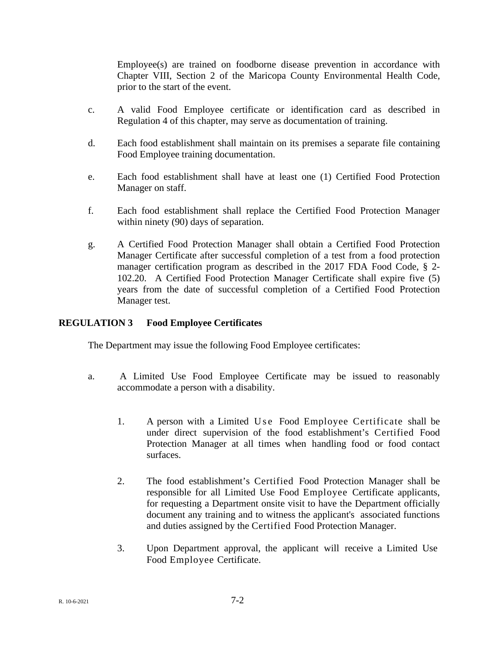Employee(s) are trained on foodborne disease prevention in accordance with Chapter VIII, Section 2 of the Maricopa County Environmental Health Code, prior to the start of the event.

- c. A valid Food Employee certificate or identification card as described in Regulation 4 of this chapter, may serve as documentation of training.
- d. Each food establishment shall maintain on its premises a separate file containing Food Employee training documentation.
- e. Each food establishment shall have at least one (1) Certified Food Protection Manager on staff.
- f. Each food establishment shall replace the Certified Food Protection Manager within ninety (90) days of separation.
- g. A Certified Food Protection Manager shall obtain a Certified Food Protection Manager Certificate after successful completion of a test from a food protection manager certification program as described in the 2017 FDA Food Code, § 2- 102.20. A Certified Food Protection Manager Certificate shall expire five (5) years from the date of successful completion of a Certified Food Protection Manager test.

## **REGULATION 3 Food Employee Certificates**

The Department may issue the following Food Employee certificates:

- a. A Limited Use Food Employee Certificate may be issued to reasonably accommodate a person with a disability.
	- 1. A person with a Limited Use Food Employee Certificate shall be under direct supervision of the food establishment's Certified Food Protection Manager at all times when handling food or food contact surfaces.
	- 2. The food establishment's Certified Food Protection Manager shall be responsible for all Limited Use Food Employee Certificate applicants, for requesting a Department onsite visit to have the Department officially document any training and to witness the applicant's associated functions and duties assigned by the Certified Food Protection Manager.
	- 3. Upon Department approval, the applicant will receive a Limited Use Food Employee Certificate.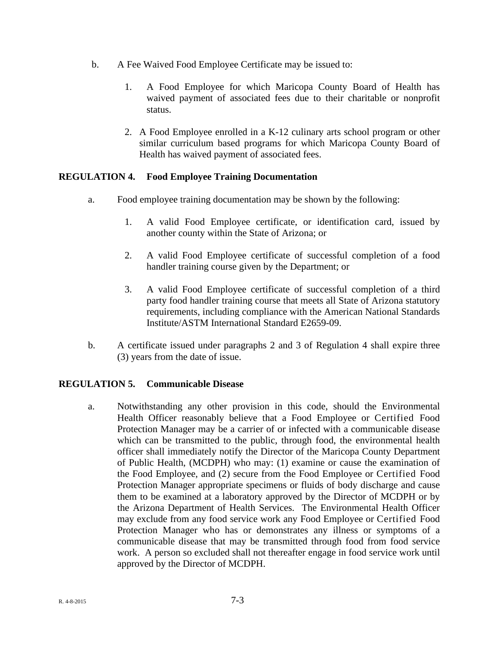- b. A Fee Waived Food Employee Certificate may be issued to:
	- 1. A Food Employee for which Maricopa County Board of Health has waived payment of associated fees due to their charitable or nonprofit status.
	- 2. A Food Employee enrolled in a K-12 culinary arts school program or other similar curriculum based programs for which Maricopa County Board of Health has waived payment of associated fees.

# **REGULATION 4. Food Employee Training Documentation**

- a. Food employee training documentation may be shown by the following:
	- 1. A valid Food Employee certificate, or identification card, issued by another county within the State of Arizona; or
	- 2. A valid Food Employee certificate of successful completion of a food handler training course given by the Department; or
	- 3. A valid Food Employee certificate of successful completion of a third party food handler training course that meets all State of Arizona statutory requirements, including compliance with the American National Standards Institute/ASTM International Standard E2659-09.
- b. A certificate issued under paragraphs 2 and 3 of Regulation 4 shall expire three (3) years from the date of issue.

### **REGULATION 5. Communicable Disease**

a. Notwithstanding any other provision in this code, should the Environmental Health Officer reasonably believe that a Food Employee or Certified Food Protection Manager may be a carrier of or infected with a communicable disease which can be transmitted to the public, through food, the environmental health officer shall immediately notify the Director of the Maricopa County Department of Public Health, (MCDPH) who may: (1) examine or cause the examination of the Food Employee, and (2) secure from the Food Employee or Certified Food Protection Manager appropriate specimens or fluids of body discharge and cause them to be examined at a laboratory approved by the Director of MCDPH or by the Arizona Department of Health Services. The Environmental Health Officer may exclude from any food service work any Food Employee or Certified Food Protection Manager who has or demonstrates any illness or symptoms of a communicable disease that may be transmitted through food from food service work. A person so excluded shall not thereafter engage in food service work until approved by the Director of MCDPH.